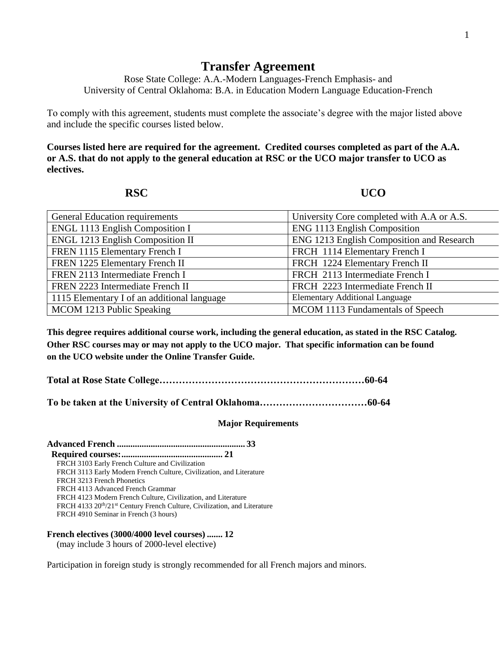## **Transfer Agreement**

Rose State College: A.A.-Modern Languages-French Emphasis- and University of Central Oklahoma: B.A. in Education Modern Language Education-French

To comply with this agreement, students must complete the associate's degree with the major listed above and include the specific courses listed below.

**Courses listed here are required for the agreement. Credited courses completed as part of the A.A. or A.S. that do not apply to the general education at RSC or the UCO major transfer to UCO as electives.**

**RSC UCO** 

| <b>General Education requirements</b>       | University Core completed with A.A or A.S. |  |
|---------------------------------------------|--------------------------------------------|--|
| ENGL 1113 English Composition I             | ENG 1113 English Composition               |  |
| <b>ENGL 1213 English Composition II</b>     | ENG 1213 English Composition and Research  |  |
| FREN 1115 Elementary French I               | FRCH 1114 Elementary French I              |  |
| FREN 1225 Elementary French II              | FRCH 1224 Elementary French II             |  |
| FREN 2113 Intermediate French I             | FRCH 2113 Intermediate French I            |  |
| FREN 2223 Intermediate French II            | FRCH 2223 Intermediate French II           |  |
| 1115 Elementary I of an additional language | <b>Elementary Additional Language</b>      |  |
| MCOM 1213 Public Speaking                   | MCOM 1113 Fundamentals of Speech           |  |

**This degree requires additional course work, including the general education, as stated in the RSC Catalog. Other RSC courses may or may not apply to the UCO major. That specific information can be found on the UCO website under the Online Transfer Guide.**

**Total at Rose State College………………………………………………………60-64**

**To be taken at the University of Central Oklahoma……………………………60-64**

## **Major Requirements**

**Advanced French ......................................................... 33 Required courses:............................................. 21** FRCH 3103 Early French Culture and Civilization FRCH 3113 Early Modern French Culture, Civilization, and Literature FRCH 3213 French Phonetics FRCH 4113 Advanced French Grammar FRCH 4123 Modern French Culture, Civilization, and Literature FRCH 4133 20<sup>th</sup>/21<sup>st</sup> Century French Culture, Civilization, and Literature FRCH 4910 Seminar in French (3 hours)

**French electives (3000/4000 level courses) ....... 12** (may include 3 hours of 2000-level elective)

Participation in foreign study is strongly recommended for all French majors and minors.